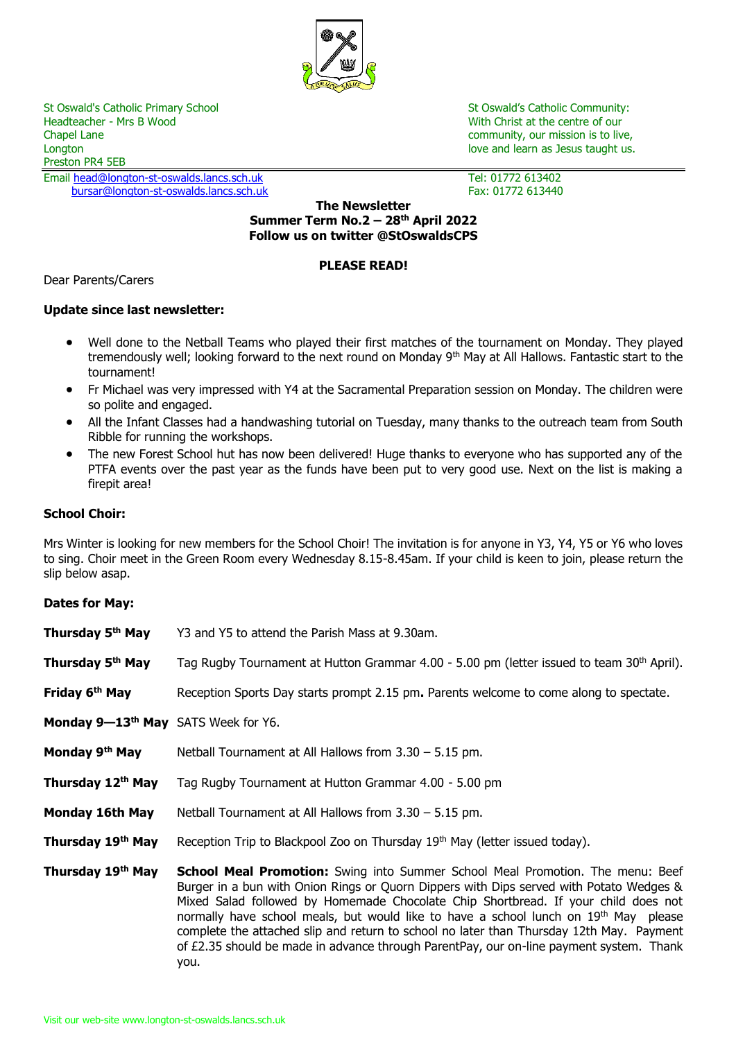

St Oswald's Catholic Primary School St Oswald's Catholic Community:<br>
Headteacher - Mrs B Wood St Oswald's Catholic Community:<br>
With Christ at the centre of our Chapel Lane community, our mission is to live, Longton love and learn as Jesus taught us. Longton love and learn as Jesus taught us. Preston PR4 5EB

Email <u>head@longton-st-oswalds.lancs.sch.uk</u> Tel: 01772 613402<br>bursar@longton-st-oswalds.lancs.sch.uk Tex: 01772 613440 [bursar@longton-st-oswalds.lancs.sch.uk](mailto:bursar@longton-st-oswalds.lancs.sch.uk)

With Christ at the centre of our

### **The Newsletter Summer Term No.2 – 28 th April 2022 Follow us on twitter @StOswaldsCPS**

## **PLEASE READ!**

Dear Parents/Carers

## **Update since last newsletter:**

- Well done to the Netball Teams who played their first matches of the tournament on Monday. They played tremendously well; looking forward to the next round on Monday 9<sup>th</sup> May at All Hallows. Fantastic start to the tournament!
- Fr Michael was very impressed with Y4 at the Sacramental Preparation session on Monday. The children were so polite and engaged.
- All the Infant Classes had a handwashing tutorial on Tuesday, many thanks to the outreach team from South Ribble for running the workshops.
- The new Forest School hut has now been delivered! Huge thanks to everyone who has supported any of the PTFA events over the past year as the funds have been put to very good use. Next on the list is making a firepit area!

## **School Choir:**

Mrs Winter is looking for new members for the School Choir! The invitation is for anyone in Y3, Y4, Y5 or Y6 who loves to sing. Choir meet in the Green Room every Wednesday 8.15-8.45am. If your child is keen to join, please return the slip below asap.

## **Dates for May:**

| Thursday 5 <sup>th</sup> May                    | Y3 and Y5 to attend the Parish Mass at 9.30am.                                                                                                                                                                                                                                                                                                                                                                                                                                                                                                                            |
|-------------------------------------------------|---------------------------------------------------------------------------------------------------------------------------------------------------------------------------------------------------------------------------------------------------------------------------------------------------------------------------------------------------------------------------------------------------------------------------------------------------------------------------------------------------------------------------------------------------------------------------|
| Thursday 5 <sup>th</sup> May                    | Tag Rugby Tournament at Hutton Grammar 4.00 - 5.00 pm (letter issued to team 30 <sup>th</sup> April).                                                                                                                                                                                                                                                                                                                                                                                                                                                                     |
| Friday 6 <sup>th</sup> May                      | Reception Sports Day starts prompt 2.15 pm. Parents welcome to come along to spectate.                                                                                                                                                                                                                                                                                                                                                                                                                                                                                    |
| Monday 9-13 <sup>th</sup> May SATS Week for Y6. |                                                                                                                                                                                                                                                                                                                                                                                                                                                                                                                                                                           |
| Monday 9 <sup>th</sup> May                      | Netball Tournament at All Hallows from $3.30 - 5.15$ pm.                                                                                                                                                                                                                                                                                                                                                                                                                                                                                                                  |
| Thursday 12th May                               | Tag Rugby Tournament at Hutton Grammar 4.00 - 5.00 pm                                                                                                                                                                                                                                                                                                                                                                                                                                                                                                                     |
| Monday 16th May                                 | Netball Tournament at All Hallows from $3.30 - 5.15$ pm.                                                                                                                                                                                                                                                                                                                                                                                                                                                                                                                  |
| Thursday 19th May                               | Reception Trip to Blackpool Zoo on Thursday 19 <sup>th</sup> May (letter issued today).                                                                                                                                                                                                                                                                                                                                                                                                                                                                                   |
| Thursday 19th May                               | <b>School Meal Promotion:</b> Swing into Summer School Meal Promotion. The menu: Beef<br>Burger in a bun with Onion Rings or Quorn Dippers with Dips served with Potato Wedges &<br>Mixed Salad followed by Homemade Chocolate Chip Shortbread. If your child does not<br>normally have school meals, but would like to have a school lunch on 19 <sup>th</sup> May please<br>complete the attached slip and return to school no later than Thursday 12th May. Payment<br>of £2.35 should be made in advance through ParentPay, our on-line payment system. Thank<br>you. |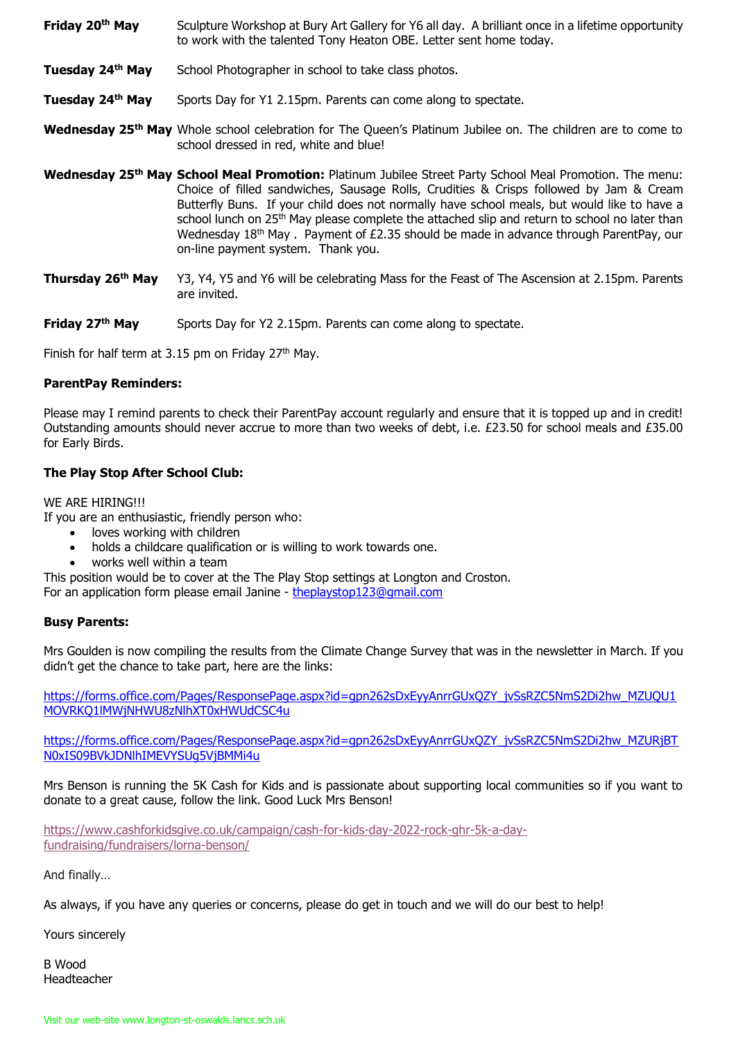- **Friday 20th May** Sculpture Workshop at Bury Art Gallery for Y6 all day. A brilliant once in a lifetime opportunity to work with the talented Tony Heaton OBE. Letter sent home today.
- **Tuesday 24th May** School Photographer in school to take class photos.
- **Tuesday 24th May** Sports Day for Y1 2.15pm. Parents can come along to spectate.
- **Wednesday 25th May** Whole school celebration for The Queen's Platinum Jubilee on. The children are to come to school dressed in red, white and blue!
- **Wednesday 25th May School Meal Promotion:** Platinum Jubilee Street Party School Meal Promotion. The menu: Choice of filled sandwiches, Sausage Rolls, Crudities & Crisps followed by Jam & Cream Butterfly Buns. If your child does not normally have school meals, but would like to have a school lunch on 25<sup>th</sup> May please complete the attached slip and return to school no later than Wednesday 18<sup>th</sup> May . Payment of £2.35 should be made in advance through ParentPay, our on-line payment system. Thank you.
- **Thursday 26th May** Y3, Y4, Y5 and Y6 will be celebrating Mass for the Feast of The Ascension at 2.15pm. Parents are invited.
- **Friday 27<sup>th</sup> May** Sports Day for Y2 2.15pm. Parents can come along to spectate.

Finish for half term at 3.15 pm on Friday  $27<sup>th</sup>$  May.

#### **ParentPay Reminders:**

Please may I remind parents to check their ParentPay account regularly and ensure that it is topped up and in credit! Outstanding amounts should never accrue to more than two weeks of debt, i.e. £23.50 for school meals and £35.00 for Early Birds.

## **The Play Stop After School Club:**

WE ARE HIRING!!!

If you are an enthusiastic, friendly person who:

- loves working with children
- holds a childcare qualification or is willing to work towards one.
- works well within a team

This position would be to cover at the The Play Stop settings at Longton and Croston.

For an application form please email Janine - [theplaystop123@gmail.com](mailto:theplaystop123@gmail.com)

## **Busy Parents:**

Mrs Goulden is now compiling the results from the Climate Change Survey that was in the newsletter in March. If you didn't get the chance to take part, here are the links:

[https://forms.office.com/Pages/ResponsePage.aspx?id=gpn262sDxEyyAnrrGUxQZY\\_jvSsRZC5NmS2Di2hw\\_MZUQU1](https://checkpoint.url-protection.com/v1/url?o=https%3A//forms.office.com/Pages/ResponsePage.aspx%3Fid%3Dgpn262sDxEyyAnrrGUxQZY_jvSsRZC5NmS2Di2hw_MZUQU1MOVRKQ1lMWjNHWU8zNlhXT0xHWUdCSC4u&g=MWI2YzE5NWJiZWMyZmRkNA==&h=YWVhMTE1OGE4NWYxZjMxNzQ3N2NmYzI2NjMyZTFmYTA2NzViYTliZTJmNzI2NmMyODNmMTc3M2UwMmQ3YWZiYw==&p=Y3AxZTp1Y2xhbmxpdmU6Y2hlY2twb2ludDpvZmZpY2UzNjVfZW1haWxzX2VtYWlsOjViYTk0M2ZhZmNlNDg3ZjAxN2FjYzFmMmJkMDJlOTcwOnYx) [MOVRKQ1lMWjNHWU8zNlhXT0xHWUdCSC4u](https://checkpoint.url-protection.com/v1/url?o=https%3A//forms.office.com/Pages/ResponsePage.aspx%3Fid%3Dgpn262sDxEyyAnrrGUxQZY_jvSsRZC5NmS2Di2hw_MZUQU1MOVRKQ1lMWjNHWU8zNlhXT0xHWUdCSC4u&g=MWI2YzE5NWJiZWMyZmRkNA==&h=YWVhMTE1OGE4NWYxZjMxNzQ3N2NmYzI2NjMyZTFmYTA2NzViYTliZTJmNzI2NmMyODNmMTc3M2UwMmQ3YWZiYw==&p=Y3AxZTp1Y2xhbmxpdmU6Y2hlY2twb2ludDpvZmZpY2UzNjVfZW1haWxzX2VtYWlsOjViYTk0M2ZhZmNlNDg3ZjAxN2FjYzFmMmJkMDJlOTcwOnYx)

[https://forms.office.com/Pages/ResponsePage.aspx?id=gpn262sDxEyyAnrrGUxQZY\\_jvSsRZC5NmS2Di2hw\\_MZURjBT](https://checkpoint.url-protection.com/v1/url?o=https%3A//forms.office.com/Pages/ResponsePage.aspx%3Fid%3Dgpn262sDxEyyAnrrGUxQZY_jvSsRZC5NmS2Di2hw_MZURjBTN0xIS09BVkJDNlhIMEVYSUg5VjBMMi4u&g=YmVhMTc2MDM3ZDQxMmI2NQ==&h=Yzc0NDdkMjQ0OTM0YmNkNWQ5YTRhYzgyNjg5ZGYwZWVlNDFhY2MzNjRmNGZkNmY3N2JiYmFmNDliYWU1MmJkZg==&p=Y3AxZTp1Y2xhbmxpdmU6Y2hlY2twb2ludDpvZmZpY2UzNjVfZW1haWxzX2VtYWlsOjViYTk0M2ZhZmNlNDg3ZjAxN2FjYzFmMmJkMDJlOTcwOnYx) [N0xIS09BVkJDNlhIMEVYSUg5VjBMMi4u](https://checkpoint.url-protection.com/v1/url?o=https%3A//forms.office.com/Pages/ResponsePage.aspx%3Fid%3Dgpn262sDxEyyAnrrGUxQZY_jvSsRZC5NmS2Di2hw_MZURjBTN0xIS09BVkJDNlhIMEVYSUg5VjBMMi4u&g=YmVhMTc2MDM3ZDQxMmI2NQ==&h=Yzc0NDdkMjQ0OTM0YmNkNWQ5YTRhYzgyNjg5ZGYwZWVlNDFhY2MzNjRmNGZkNmY3N2JiYmFmNDliYWU1MmJkZg==&p=Y3AxZTp1Y2xhbmxpdmU6Y2hlY2twb2ludDpvZmZpY2UzNjVfZW1haWxzX2VtYWlsOjViYTk0M2ZhZmNlNDg3ZjAxN2FjYzFmMmJkMDJlOTcwOnYx)

Mrs Benson is running the 5K Cash for Kids and is passionate about supporting local communities so if you want to donate to a great cause, follow the link. Good Luck Mrs Benson!

[https://www.cashforkidsgive.co.uk/campaign/cash-for-kids-day-2022-rock-ghr-5k-a-day](https://www.cashforkidsgive.co.uk/campaign/cash-for-kids-day-2022-rock-ghr-5k-a-day-fundraising/fundraisers/lorna-benson/)[fundraising/fundraisers/lorna-benson/](https://www.cashforkidsgive.co.uk/campaign/cash-for-kids-day-2022-rock-ghr-5k-a-day-fundraising/fundraisers/lorna-benson/)

And finally…

As always, if you have any queries or concerns, please do get in touch and we will do our best to help!

Yours sincerely

B Wood Headteacher